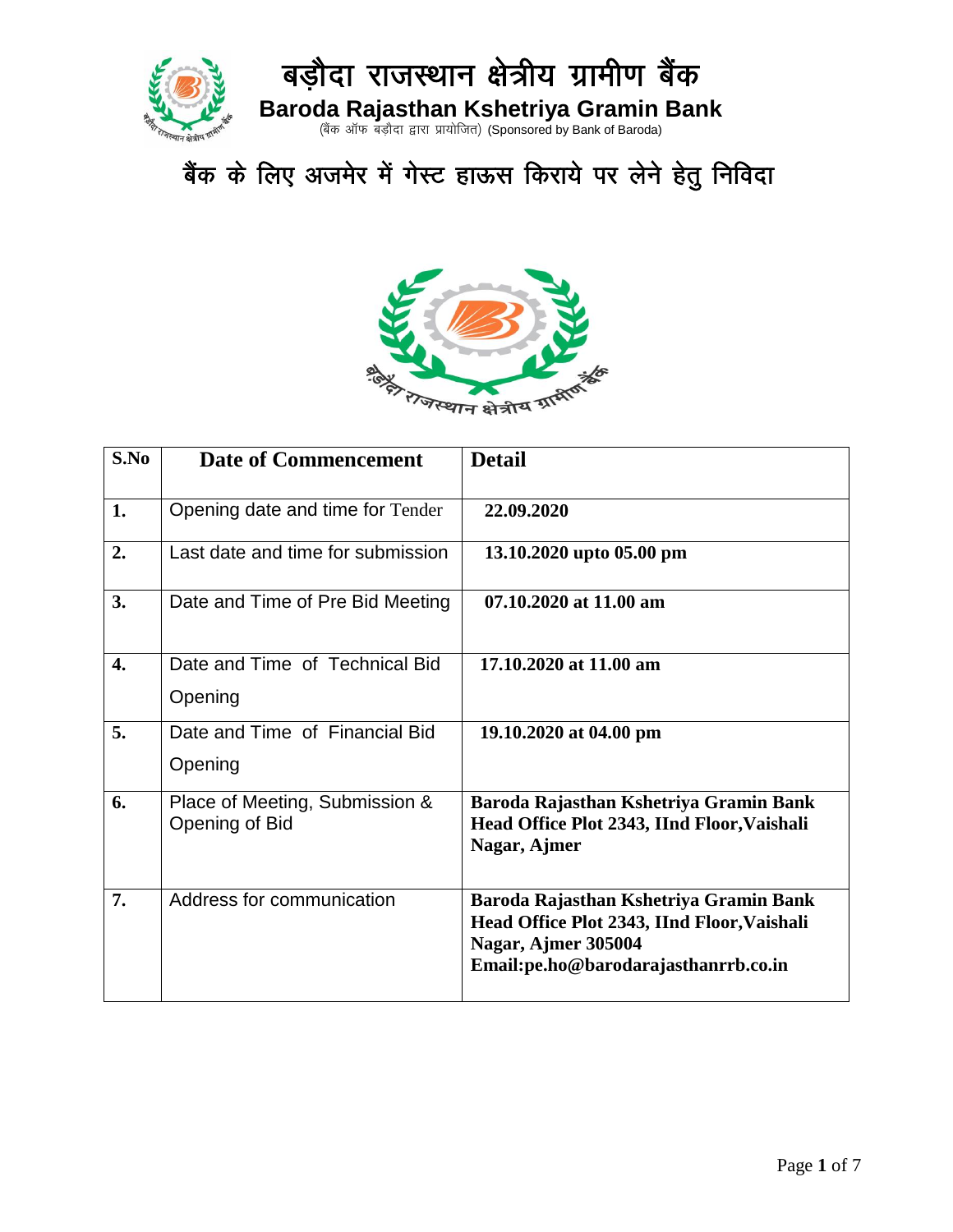

## बैंक के लिए अजमेर में गेस्ट हाऊस किराये पर लेने हेतु निविदा



| S.No             | <b>Date of Commencement</b>                      | <b>Detail</b>                                                                                                                                        |
|------------------|--------------------------------------------------|------------------------------------------------------------------------------------------------------------------------------------------------------|
| 1.               | Opening date and time for Tender                 | 22.09.2020                                                                                                                                           |
| 2.               | Last date and time for submission                | 13.10.2020 upto 05.00 pm                                                                                                                             |
| 3.               | Date and Time of Pre Bid Meeting                 | 07.10.2020 at 11.00 am                                                                                                                               |
| $\overline{4}$ . | Date and Time of Technical Bid<br>Opening        | 17.10.2020 at 11.00 am                                                                                                                               |
| 5.               | Date and Time of Financial Bid<br>Opening        | 19.10.2020 at 04.00 pm                                                                                                                               |
| 6.               | Place of Meeting, Submission &<br>Opening of Bid | Baroda Rajasthan Kshetriya Gramin Bank<br>Head Office Plot 2343, IInd Floor, Vaishali<br>Nagar, Ajmer                                                |
| 7.               | Address for communication                        | Baroda Rajasthan Kshetriya Gramin Bank<br>Head Office Plot 2343, IInd Floor, Vaishali<br>Nagar, Ajmer 305004<br>Email:pe.ho@barodarajasthanrrb.co.in |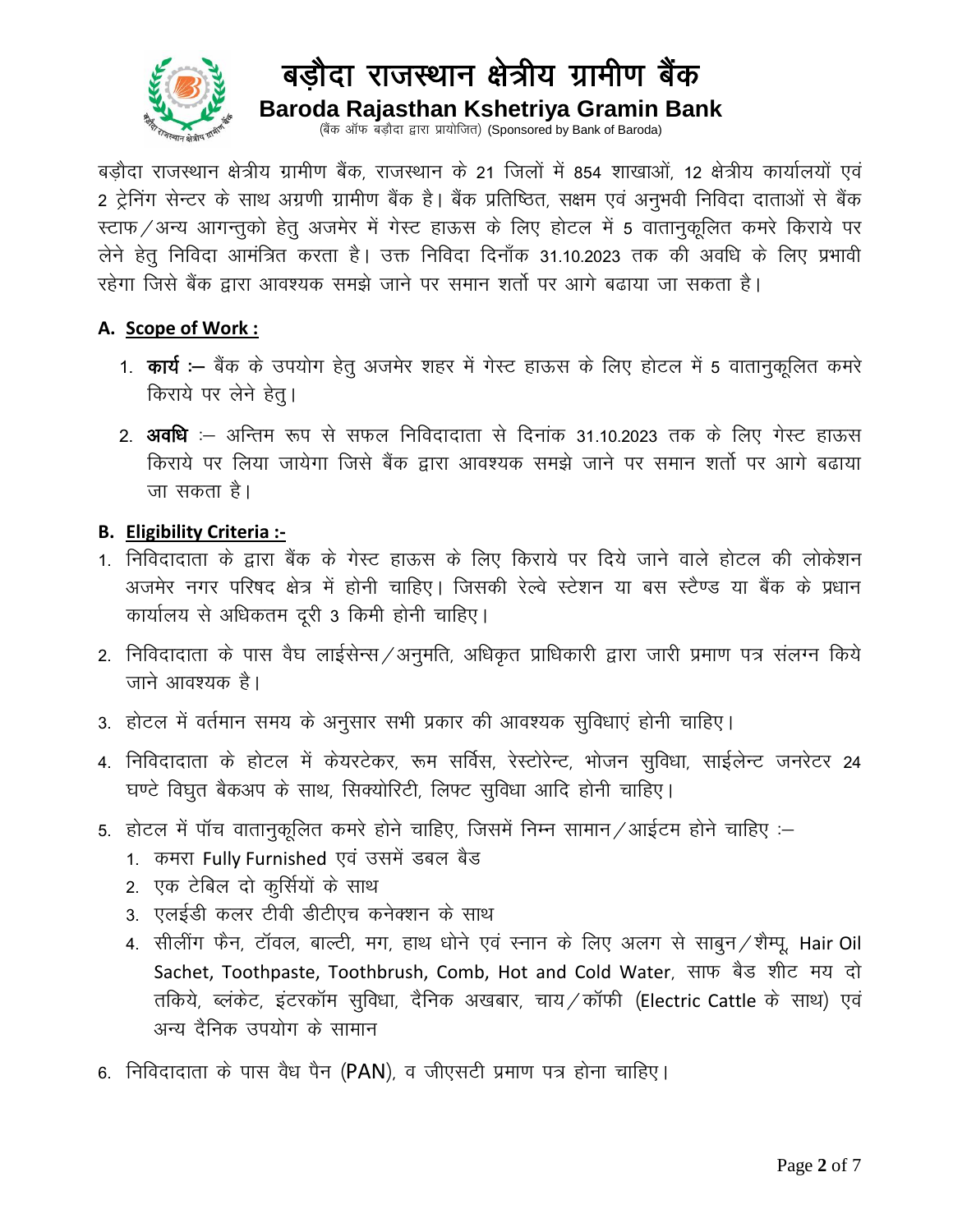

### बड़ौदा राजस्थान क्षेत्रीय ग्रामीण बैंक **Baroda Rajasthan Kshetriya Gramin Bank**

(बैंक ऑफ बड़ौदा द्वारा प्रायोजित) (Sponsored by Bank of Baroda)

बड़ौदा राजस्थान क्षेत्रीय ग्रामीण बैंक, राजस्थान के 21 जिलों में 854 शाखाओं, 12 क्षेत्रीय कार्यालयों एवं 2 ट्रेनिंग सेन्टर के साथ अग्रणी ग्रामीण बैंक है। बैंक प्रतिष्ठित, सक्षम एवं अनुभवी निविदा दाताओं से बैंक स्टाफ / अन्य आगन्तुको हेतु अजमेर में गेस्ट हाऊस के लिए होटल में 5 वातानुकूलित कमरे किराये पर लेने हेतू निविदा आमंत्रित करता है। उक्त निविदा दिनाँक 31.10.2023 तक की अवधि के लिए प्रभावी रहेगा जिसे बैंक द्वारा आवश्यक समझे जाने पर समान शर्तो पर आगे बढाया जा सकता है।

#### **A. Scope of Work :**

- 1. **कार्य:** बैंक के उपयोग हेत् अजमेर शहर में गेस्ट हाऊस के लिए होटल में 5 वातानुकूलित कमरे किराये पर लेने हेत्।
- 2. अवधि :– अन्तिम रूप से सफल निविदादाता से दिनांक 31.10.2023 तक के लिए गेस्ट हाऊस किराये पर लिया जायेगा जिसे बैंक द्वारा आवश्यक समझे जाने पर समान शर्तो पर आगे बढाया जा सकता है।

#### **B. Eligibility Criteria :-**

- 1. निविदादाता के द्वारा बैंक के गेस्ट हाऊस के लिए किराये पर दिये जाने वाले होटल की लोकेशन अजमेर नगर परिषद क्षेत्र में होनी चाहिए। जिसकी रेल्वे स्टेशन या बस स्टैण्ड या बैंक के प्रधान कार्यालय से अधिकतम दूरी 3 किमी होनी चाहिए।
- 2. निविदादाता के पास वैघ लाईसेन्स / अनुमति, अधिकृत प्राधिकारी द्वारा जारी प्रमाण पत्र संलग्न किये जाने आवश्यक है।
- 3. होटल में वर्तमान समय के अनुसार सभी प्रकार की आवश्यक सुविधाएं होनी चाहिए।
- 4. निविदादाता के होटल में केयरटेकर, रूम सर्विस, रेस्टोरेन्ट, भोजन सुविधा, साईलेन्ट जनरेटर 24 घण्टे विघुत बैकअप के साथ, सिक्योरिटी, लिफ्ट सुविधा आदि होनी चाहिए।
- 5. होटल में पॉच वातानुकूलित कमरे होने चाहिए, जिसमें निम्न सामान /आईटम होने चाहिए :–
	- 1. कमरा Fully Furnished एवं उसमें डबल बैड
	- 2. एक टेबिल दो कुर्सियों के साथ
	- 3. एलईडी कलर टीवी डीटीएच कनेक्शन के साथ
	- 4. सीलींग फैन, टॉवल, बाल्टी, मग, हाथ धोने एवं स्नान के लिए अलग से साबून / शैम्पू, Hair Oil Sachet, Toothpaste, Toothbrush, Comb, Hot and Cold Water, साफ बैड शीट मय दो तकिये, ब्लंकेट, इंटरकॉम सुविधा, दैनिक अखबार, चाय / कॉफी (Electric Cattle के साथ) एवं अन्य दैनिक उपयोग के सामान
- 6. निविदादाता के पास वैध पैन (PAN), व जीएसटी प्रमाण पत्र होना चाहिए।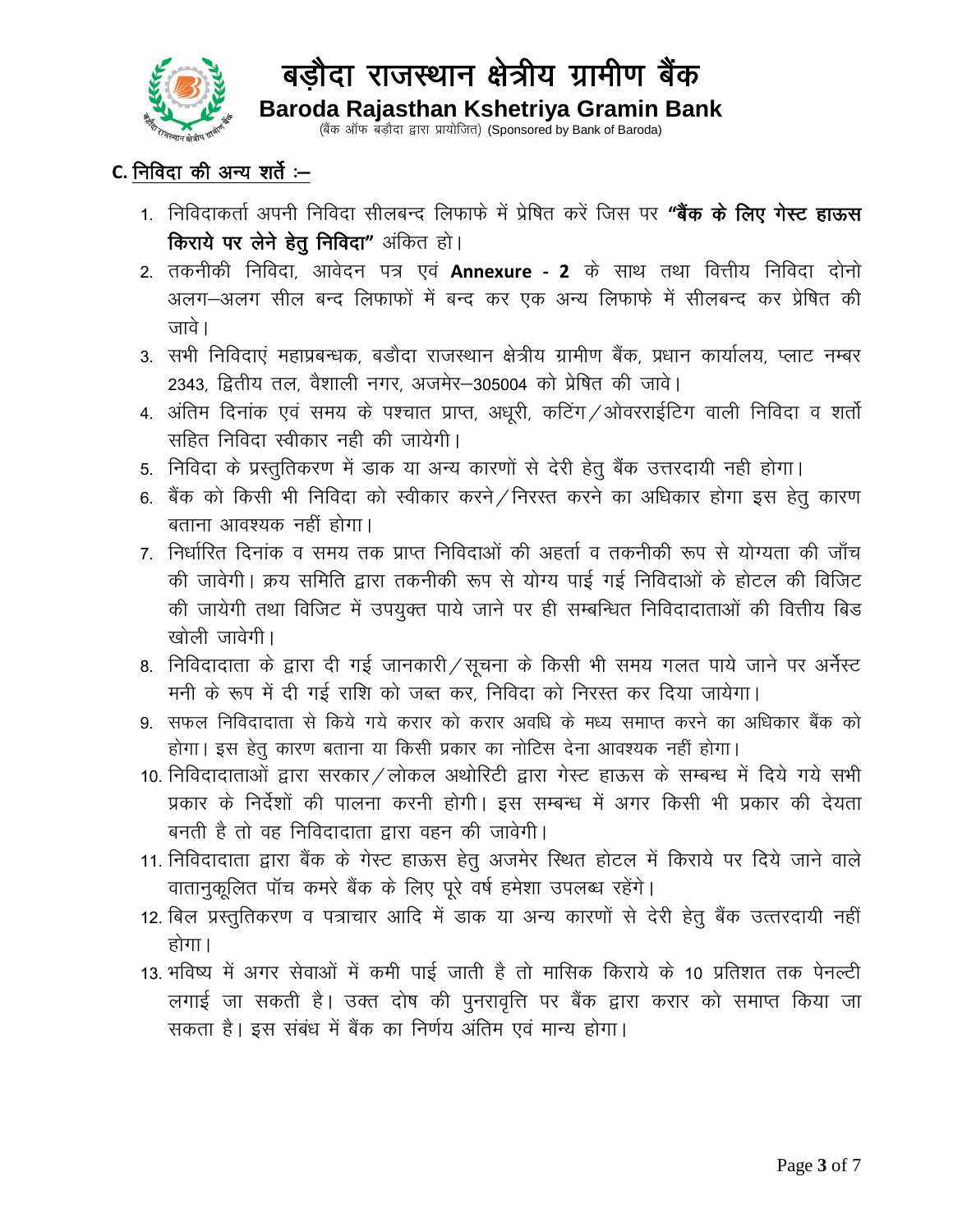

# बड़ौदा राजस्थान क्षेत्रीय ग्रामीण बैंक Baroda Rajasthan Kshetriya Gramin Bank<br>(बैंक ऑफ बड़ौदा द्वारा प्रायोजित) (Sponsored by Bank of Baroda)

### C. निविदा की अन्य शर्ते :-

- 1. निविदाकर्ता अपनी निविदा सीलबन्द लिफाफे में प्रेषित करें जिस पर **"बैंक के लिए गेस्ट हाऊस** किराये पर लेने हेतू निविदा" अंकित हो।
- 2. तकनीकी निविदा, आवेदन पत्र एवं Annexure 2 के साथ तथा वित्तीय निविदा दोनो अलग-अलग सील बन्द लिफाफों में बन्द कर एक अन्य लिफाफे में सीलबन्द कर प्रेषित की जावे।
- 3. सभी निविदाएं महाप्रबन्धक, बडौदा राजस्थान क्षेत्रीय ग्रामीण बैंक, प्रधान कार्यालय, प्लाट नम्बर 2343, द्वितीय तल, वैशाली नगर, अजमेर-305004 को प्रेषित की जावे।
- 4. अंतिम दिनांक एवं समय के पश्चात प्राप्त, अधुरी, कटिंग / ओवरराईटिंग वाली निविदा व शर्तो सहित निविदा स्वीकार नही की जायेगी।
- 5. निविदा के प्रस्तुतिकरण में डाक या अन्य कारणों से देरी हेतू बैंक उत्तरदायी नही होगा।
- 6. बैंक को किसी भी निविदा को स्वीकार करने / निरस्त करने का अधिकार होगा इस हेतु कारण बताना आवश्यक नहीं होगा।
- 7. निर्धारित दिनांक व समय तक प्राप्त निविदाओं की अहर्ता व तकनीकी रूप से योग्यता की जाँच की जावेगी। क्रय समिति द्वारा तकनीकी रूप से योग्य पाई गई निविदाओं के होटल की विजिट की जायेगी तथा विजिट में उपयुक्त पाये जाने पर ही सम्बन्धित निविदादाताओं की वित्तीय बिड खोली जावेगी।
- 8. निविदादाता के द्वारा दी गई जानकारी / सूचना के किसी भी समय गलत पाये जाने पर अर्नेस्ट मनी के रूप में दी गई राशि को जब्त कर, निविदा को निरस्त कर दिया जायेगा।
- 9. सफल निविदादाता से किये गये करार को करार अवधि के मध्य समाप्त करने का अधिकार बैंक को होगा। इस हेतू कारण बताना या किसी प्रकार का नोटिस देना आवश्यक नहीं होगा।
- 10. निविदादाताओं द्वारा सरकार / लोकल अथोरिटी द्वारा गेस्ट हाऊस के सम्बन्ध में दिये गये सभी प्रकार के निर्देशों की पालना करनी होगी। इस सम्बन्ध में अगर किसी भी प्रकार की देयता बनती है तो वह निविदादाता द्वारा वहन की जावेगी।
- 11. निविदादाता द्वारा बैंक के गेस्ट हाऊस हेतू अजमेर स्थित होटल में किराये पर दिये जाने वाले वातानुकूलित पॉच कमरे बैंक के लिए पूरे वर्ष हमेशा उपलब्ध रहेंगे।
- 12. बिल प्रस्तुतिकरण व पत्राचार आदि में डाक या अन्य कारणों से देरी हेतु बैंक उत्तरदायी नहीं होगा।
- 13. भविष्य में अगर सेवाओं में कमी पाई जाती है तो मासिक किराये के 10 प्रतिशत तक पेनल्टी लगाई जा सकती है। उक्त दोष की पुनरावृत्ति पर बैंक द्वारा करार को समाप्त किया जा सकता है। इस संबंध में बैंक का निर्णय अंतिम एवं मान्य होगा।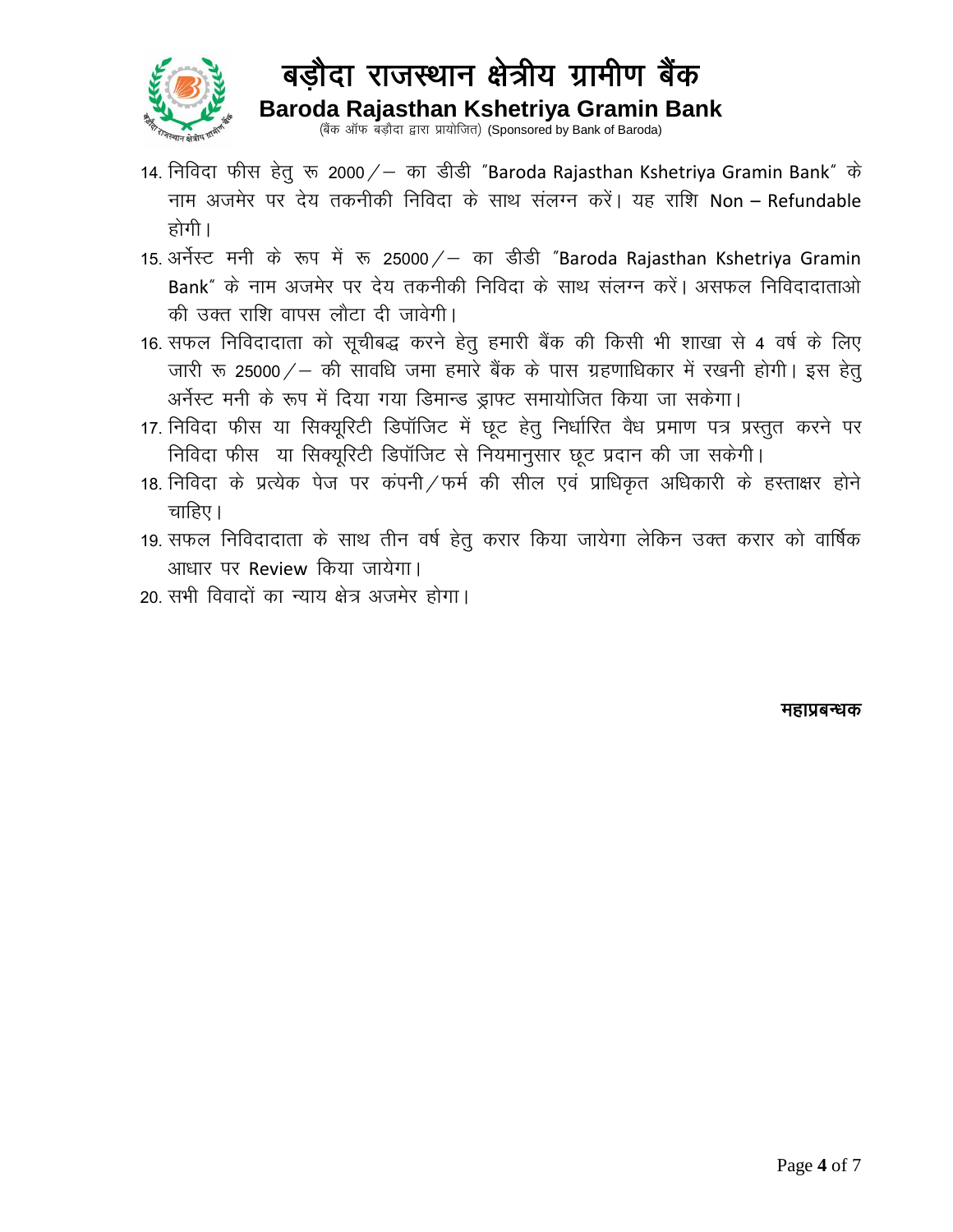

# बड़ौदा राजस्थान क्षेत्रीय ग्रामीण बैंक Baroda Rajasthan Kshetriya Gramin Bank<br>(बैंक ऑफ बड़ौदा द्वारा प्रायोजित) (Sponsored by Bank of Baroda)

- 14. निविदा फीस हेतु रू 2000 / का डीडी "Baroda Rajasthan Kshetriya Gramin Bank" के नाम अजमेर पर देय तकनीकी निविदा के साथ संलग्न करें। यह राशि Non – Refundable होगी ।
- 15. अर्नेस्ट मनी के रूप में रू 25000 / का डीडी "Baroda Rajasthan Kshetriya Gramin Bank" के नाम अजमेर पर देय तकनीकी निविदा के साथ संलग्न करें। असफल निविदादाताओ की उक्त राशि वापस लौटा दी जावेगी।
- 16. सफल निविदादाता को सूचीबद्ध करने हेतु हमारी बैंक की किसी भी शाखा से 4 वर्ष के लिए जारी रू 25000 / - की सावधि जमा हमारे बैंक के पास ग्रहणाधिकार में रखनी होगी। इस हेत् अर्नेस्ट मनी के रूप में दिया गया डिमान्ड ड्राफ्ट समायोजित किया जा सकेगा।
- 17. निविदा फीस या सिक्यूरिटी डिपॉजिट में छूट हेतू निर्धारित वैध प्रमाण पत्र प्रस्तुत करने पर निविदा फीस या सिक्यूरिटी डिपॉजिट से नियमानुसार छूट प्रदान की जा सकेगी।
- 18. निविदा के प्रत्येक पेज पर कंपनी/फर्म की सील एवं प्राधिकृत अधिकारी के हस्ताक्षर होने चाहिए।
- 19. सफल निविदादाता के साथ तीन वर्ष हेतु करार किया जायेगा लेकिन उक्त करार को वार्षिक आधार पर Review किया जायेगा।
- 20 सभी विवादों का न्याय क्षेत्र अजमेर होगा।

#### महाप्रबन्धक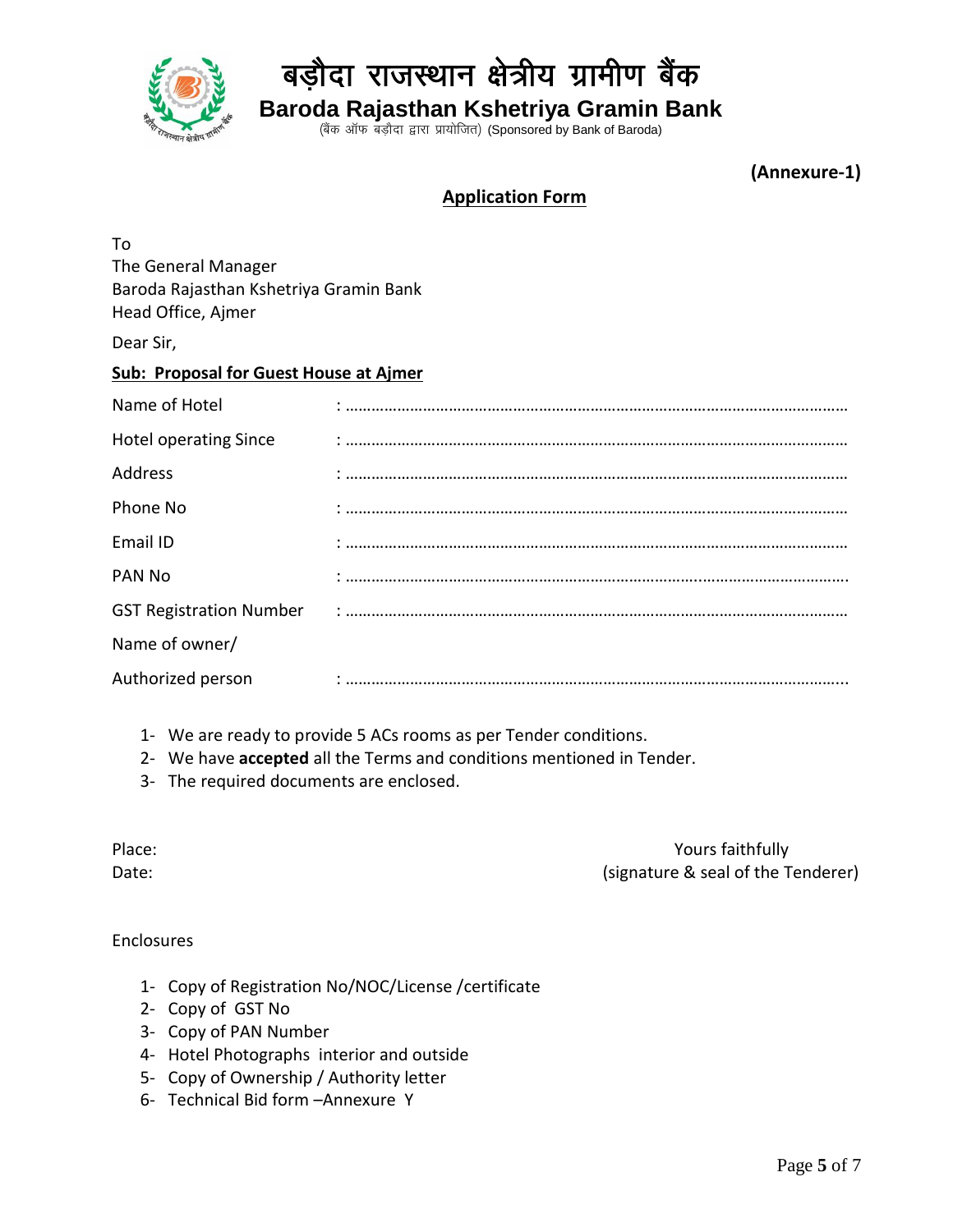

### बड़ौदा राजस्थान क्षेत्रीय ग्रामीण बैंक **Baroda Rajasthan Kshetriya Gramin Bank**

(बैंक ऑफ बड़ौदा द्वारा प्रायोजित) (Sponsored by Bank of Baroda)

**(Annexure-1)**

#### **Application Form**

| To<br>The General Manager<br>Baroda Rajasthan Kshetriya Gramin Bank |          |  |  |  |  |
|---------------------------------------------------------------------|----------|--|--|--|--|
| Head Office, Ajmer                                                  |          |  |  |  |  |
| Dear Sir,                                                           |          |  |  |  |  |
| <b>Sub: Proposal for Guest House at Ajmer</b>                       |          |  |  |  |  |
| Name of Hotel                                                       |          |  |  |  |  |
| <b>Hotel operating Since</b>                                        |          |  |  |  |  |
| Address                                                             |          |  |  |  |  |
| Phone No                                                            |          |  |  |  |  |
| Email ID                                                            |          |  |  |  |  |
| PAN No                                                              |          |  |  |  |  |
| <b>GST Registration Number</b>                                      | $\vdots$ |  |  |  |  |
| Name of owner/                                                      |          |  |  |  |  |
| Authorized person                                                   |          |  |  |  |  |

- 1- We are ready to provide 5 ACs rooms as per Tender conditions.
- 2- We have **accepted** all the Terms and conditions mentioned in Tender.
- 3- The required documents are enclosed.

Place: Yours faithfully Date: Case of the Tenderer and the United States (Signature & seal of the Tenderer)

#### Enclosures

- 1- Copy of Registration No/NOC/License /certificate
- 2- Copy of GST No
- 3- Copy of PAN Number
- 4- Hotel Photographs interior and outside
- 5- Copy of Ownership / Authority letter
- 6- Technical Bid form –Annexure Y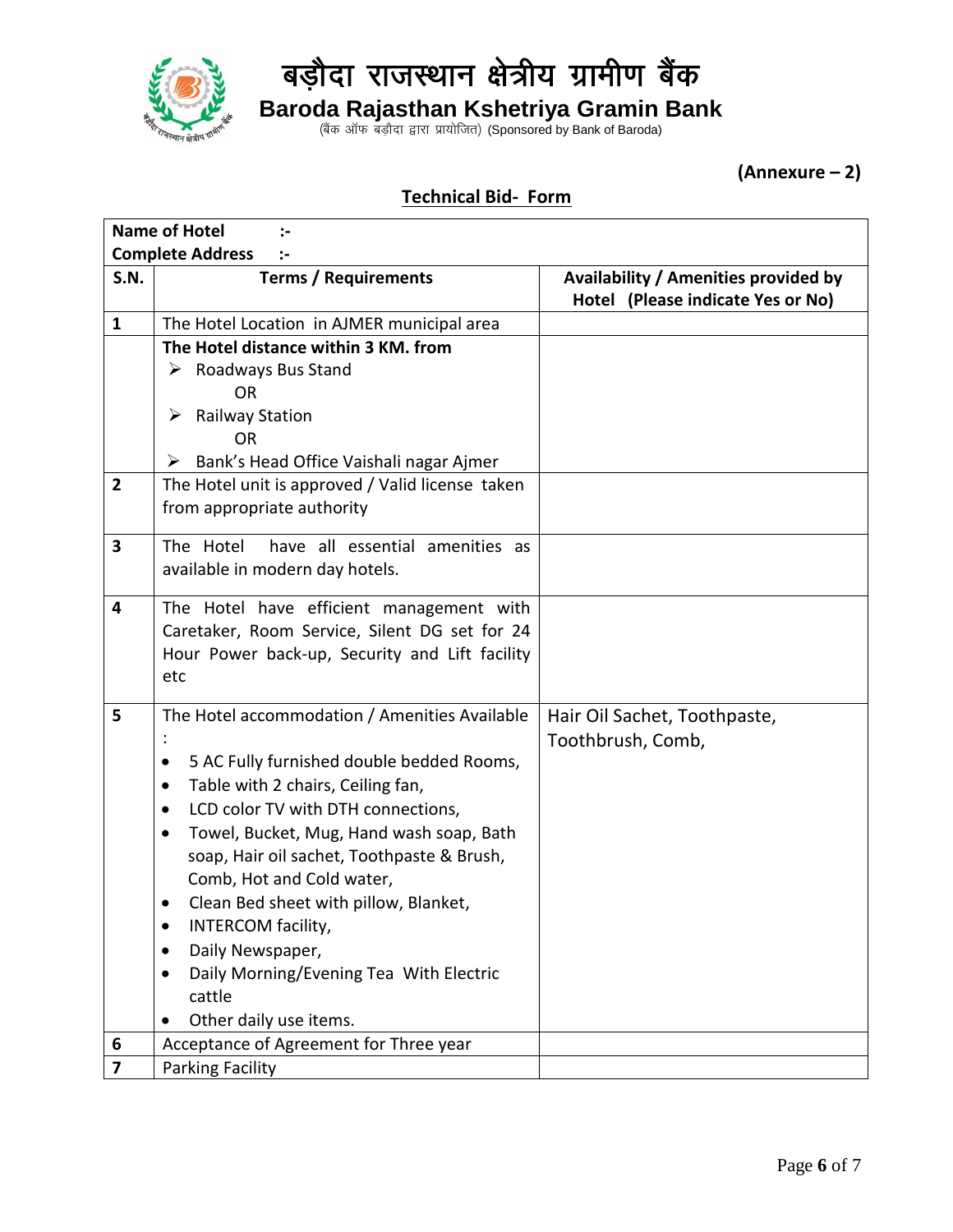

# बड़ौदा राजस्थान क्षेत्रीय ग्रामीण बैंक

**Baroda Rajasthan Kshetriya Gramin Bank**

(बैंक ऑफ बड़ौदा द्वारा प्रायोजित) (Sponsored by Bank of Baroda)

**(Annexure – 2)**

#### **Technical Bid- Form**

|                         | <b>Name of Hotel</b>                                                                                                                                                                                                                                                                                                                                                                                                                                                                                               |                                                                           |  |  |  |
|-------------------------|--------------------------------------------------------------------------------------------------------------------------------------------------------------------------------------------------------------------------------------------------------------------------------------------------------------------------------------------------------------------------------------------------------------------------------------------------------------------------------------------------------------------|---------------------------------------------------------------------------|--|--|--|
| <b>Complete Address</b> |                                                                                                                                                                                                                                                                                                                                                                                                                                                                                                                    |                                                                           |  |  |  |
| <b>S.N.</b>             | <b>Terms / Requirements</b>                                                                                                                                                                                                                                                                                                                                                                                                                                                                                        | Availability / Amenities provided by<br>Hotel (Please indicate Yes or No) |  |  |  |
| $\mathbf{1}$            | The Hotel Location in AJMER municipal area                                                                                                                                                                                                                                                                                                                                                                                                                                                                         |                                                                           |  |  |  |
|                         | The Hotel distance within 3 KM. from                                                                                                                                                                                                                                                                                                                                                                                                                                                                               |                                                                           |  |  |  |
|                         | $\triangleright$ Roadways Bus Stand                                                                                                                                                                                                                                                                                                                                                                                                                                                                                |                                                                           |  |  |  |
|                         | <b>OR</b>                                                                                                                                                                                                                                                                                                                                                                                                                                                                                                          |                                                                           |  |  |  |
|                         | $\triangleright$ Railway Station                                                                                                                                                                                                                                                                                                                                                                                                                                                                                   |                                                                           |  |  |  |
|                         | <b>OR</b>                                                                                                                                                                                                                                                                                                                                                                                                                                                                                                          |                                                                           |  |  |  |
|                         | Bank's Head Office Vaishali nagar Ajmer<br>➤                                                                                                                                                                                                                                                                                                                                                                                                                                                                       |                                                                           |  |  |  |
| $\overline{2}$          | The Hotel unit is approved / Valid license taken                                                                                                                                                                                                                                                                                                                                                                                                                                                                   |                                                                           |  |  |  |
|                         | from appropriate authority                                                                                                                                                                                                                                                                                                                                                                                                                                                                                         |                                                                           |  |  |  |
| $\overline{\mathbf{3}}$ | have all essential amenities as<br>The Hotel                                                                                                                                                                                                                                                                                                                                                                                                                                                                       |                                                                           |  |  |  |
|                         | available in modern day hotels.                                                                                                                                                                                                                                                                                                                                                                                                                                                                                    |                                                                           |  |  |  |
| 4                       | The Hotel have efficient management with<br>Caretaker, Room Service, Silent DG set for 24<br>Hour Power back-up, Security and Lift facility<br>etc                                                                                                                                                                                                                                                                                                                                                                 |                                                                           |  |  |  |
| 5                       | The Hotel accommodation / Amenities Available<br>5 AC Fully furnished double bedded Rooms,<br>$\bullet$<br>Table with 2 chairs, Ceiling fan,<br>$\bullet$<br>LCD color TV with DTH connections,<br>Towel, Bucket, Mug, Hand wash soap, Bath<br>soap, Hair oil sachet, Toothpaste & Brush,<br>Comb, Hot and Cold water,<br>Clean Bed sheet with pillow, Blanket,<br>$\bullet$<br>INTERCOM facility,<br>Daily Newspaper,<br>Daily Morning/Evening Tea With Electric<br>cattle<br>Other daily use items.<br>$\bullet$ | Hair Oil Sachet, Toothpaste,<br>Toothbrush, Comb,                         |  |  |  |
| 6                       | Acceptance of Agreement for Three year                                                                                                                                                                                                                                                                                                                                                                                                                                                                             |                                                                           |  |  |  |
| 7                       | Parking Facility                                                                                                                                                                                                                                                                                                                                                                                                                                                                                                   |                                                                           |  |  |  |